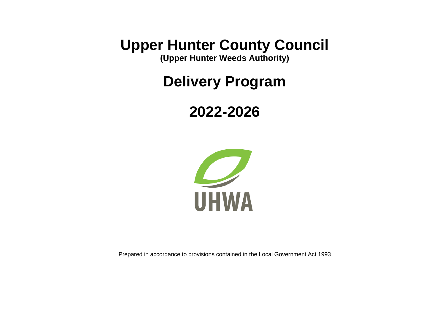**Upper Hunter County Council**

**(Upper Hunter Weeds Authority)**

**Delivery Program**

# **2022-2026**



Prepared in accordance to provisions contained in the Local Government Act 1993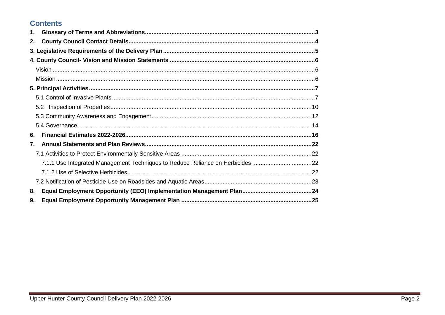### **Contents**

| 1.                                                                             |  |
|--------------------------------------------------------------------------------|--|
| 2.                                                                             |  |
|                                                                                |  |
|                                                                                |  |
|                                                                                |  |
|                                                                                |  |
|                                                                                |  |
|                                                                                |  |
| 5.2                                                                            |  |
|                                                                                |  |
|                                                                                |  |
| 6.                                                                             |  |
| 7.                                                                             |  |
|                                                                                |  |
| 7.1.1 Use Integrated Management Techniques to Reduce Reliance on Herbicides 22 |  |
|                                                                                |  |
|                                                                                |  |
| 8.                                                                             |  |
| 9.                                                                             |  |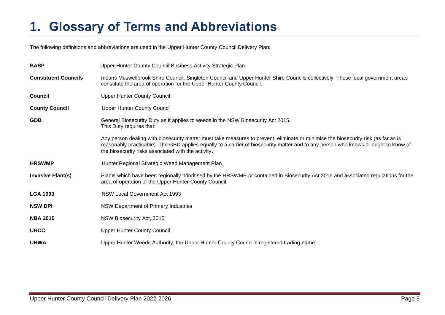## <span id="page-2-0"></span>**1. Glossary of Terms and Abbreviations**

The following definitions and abbreviations are used in the Upper Hunter County Council Delivery Plan:

| <b>BASP</b>                 | Upper Hunter County Council Business Activity Strategic Plan                                                                                                                                                                                                                                                                     |
|-----------------------------|----------------------------------------------------------------------------------------------------------------------------------------------------------------------------------------------------------------------------------------------------------------------------------------------------------------------------------|
| <b>Constituent Councils</b> | means Muswellbrook Shire Council, Singleton Council and Upper Hunter Shire Councils collectively. These local government areas<br>constitute the area of operation for the Upper Hunter County Council.                                                                                                                          |
| <b>Council</b>              | <b>Upper Hunter County Council</b>                                                                                                                                                                                                                                                                                               |
| <b>County Council</b>       | <b>Upper Hunter County Council</b>                                                                                                                                                                                                                                                                                               |
| <b>GDB</b>                  | General Biosecurity Duty as it applies to weeds in the NSW Biosecurity Act 2015.<br>This Duty requires that:                                                                                                                                                                                                                     |
|                             | Any person dealing with biosecurity matter must take measures to prevent, eliminate or minimise the biosecurity risk (as far as is<br>reasonably practicable). The GBD applies equally to a carrier of biosecurity matter and to any person who knows or ought to know of<br>the biosecurity risks associated with the activity. |
| <b>HRSWMP</b>               | Hunter Regional Strategic Weed Management Plan                                                                                                                                                                                                                                                                                   |
| <b>Invasive Plant(s)</b>    | Plants which have been regionally prioritised by the HRSWMP or contained in Biosecurity Act 2015 and associated regulations for the<br>area of operation of the Upper Hunter County Council.                                                                                                                                     |
| <b>LGA 1993</b>             | <b>NSW Local Government Act 1993</b>                                                                                                                                                                                                                                                                                             |
| <b>NSW DPI</b>              | NSW Department of Primary Industries                                                                                                                                                                                                                                                                                             |
| <b>NBA 2015</b>             | NSW Biosecurity Act, 2015                                                                                                                                                                                                                                                                                                        |
| <b>UHCC</b>                 | <b>Upper Hunter County Council</b>                                                                                                                                                                                                                                                                                               |
| <b>UHWA</b>                 | Upper Hunter Weeds Authority, the Upper Hunter County Council's registered trading name                                                                                                                                                                                                                                          |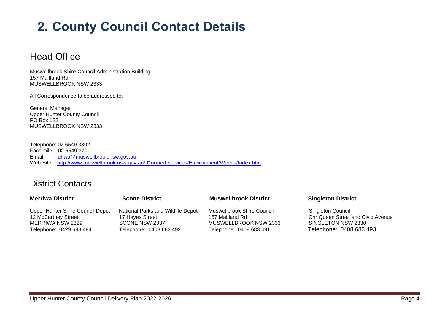## <span id="page-3-0"></span>**2. County Council Contact Details**

## Head Office

Muswellbrook Shire Council Administration Building 157 Maitland Rd MUSWELLBROOK NSW 2333

All Correspondence to be addressed to:

General Manager Upper Hunter County Council PO Box 122 MUSWELLBROOK NSW 2333

Telephone: 02 6549 3802 Facsimile: 02 6549 3701 Email: [uhwa@muswellbrook.nsw.gov.au](mailto:uhwa@muswellbrook.nsw.gov.au) Web Site: http://www.muswellbrook.nsw.gov.au/ **Council**[-services/Environment/Weeds/Index.htm](http://www.muswellbrook.nsw.gov.au/Council-services/Environment/Weeds/Index.htm)

### District Contacts

### **Merriwa District Scone District Muswellbrook District Singleton District** Upper Hunter Shire Council Depot National Parks and Wildlife Depot Muswellbrook Shire Council Singleton Council 12 McCartney Street. 17 Hayes Street. 17 Hayes Street. 157 Maitland Rd Conr Queen Street and Civic Avenue MERRIWA NSW 2329 SCONE NSW 2337 MUSWELLBROOK NSW 2333 SINGLETON NSW 2330 Telephone: 0429 683 494 Telephone: 0408 683 492 Telephone: 0408 683 491 Telephone: 0408 683 493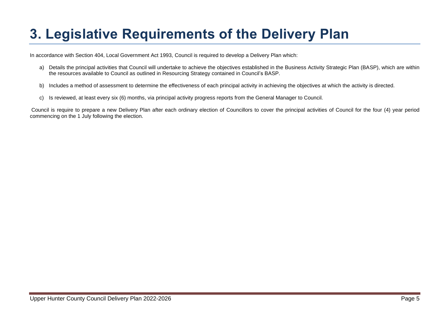# <span id="page-4-0"></span>**3. Legislative Requirements of the Delivery Plan**

In accordance with Section 404, Local Government Act 1993, Council is required to develop a Delivery Plan which:

- a) Details the principal activities that Council will undertake to achieve the objectives established in the Business Activity Strategic Plan (BASP), which are within the resources available to Council as outlined in Resourcing Strategy contained in Council's BASP.
- b) Includes a method of assessment to determine the effectiveness of each principal activity in achieving the objectives at which the activity is directed.
- c) Is reviewed, at least every six (6) months, via principal activity progress reports from the General Manager to Council.

Council is require to prepare a new Delivery Plan after each ordinary election of Councillors to cover the principal activities of Council for the four (4) year period commencing on the 1 July following the election.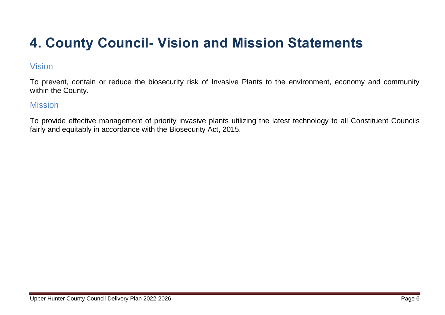# <span id="page-5-0"></span>**4. County Council- Vision and Mission Statements**

### <span id="page-5-1"></span>Vision

To prevent, contain or reduce the biosecurity risk of Invasive Plants to the environment, economy and community within the County.

### <span id="page-5-2"></span>**Mission**

To provide effective management of priority invasive plants utilizing the latest technology to all Constituent Councils fairly and equitably in accordance with the Biosecurity Act, 2015.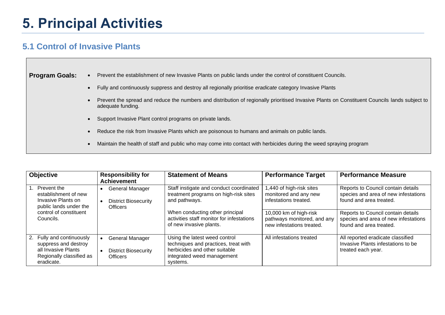## <span id="page-6-0"></span>**5. Principal Activities**

### <span id="page-6-1"></span>**5.1 Control of Invasive Plants**

 $\Box$ 

| <b>Program Goals:</b> | Prevent the establishment of new Invasive Plants on public lands under the control of constituent Councils.                                                        |
|-----------------------|--------------------------------------------------------------------------------------------------------------------------------------------------------------------|
|                       | Fully and continuously suppress and destroy all regionally prioritise eradicate category Invasive Plants                                                           |
|                       | Prevent the spread and reduce the numbers and distribution of regionally prioritised Invasive Plants on Constituent Councils lands subject to<br>adequate funding. |
|                       | Support Invasive Plant control programs on private lands.                                                                                                          |
|                       | Reduce the risk from Invasive Plants which are poisonous to humans and animals on public lands.                                                                    |
|                       | Maintain the health of staff and public who may come into contact with herbicides during the weed spraying program                                                 |
|                       |                                                                                                                                                                    |

| <b>Objective</b>                                                                                                   | <b>Responsibility for</b><br><b>Achievement</b>                          | <b>Statement of Means</b>                                                                                                                        | <b>Performance Target</b>                                                          | <b>Performance Measure</b>                                                                            |
|--------------------------------------------------------------------------------------------------------------------|--------------------------------------------------------------------------|--------------------------------------------------------------------------------------------------------------------------------------------------|------------------------------------------------------------------------------------|-------------------------------------------------------------------------------------------------------|
| 1. Prevent the<br>establishment of new<br>Invasive Plants on<br>public lands under the                             | General Manager<br><b>District Biosecurity</b><br><b>Officers</b>        | Staff instigate and conduct coordinated<br>treatment programs on high-risk sites<br>and pathways.                                                | 1,440 of high-risk sites<br>monitored and any new<br>infestations treated.         | Reports to Council contain details<br>species and area of new infestations<br>found and area treated. |
| control of constituent<br>Councils.                                                                                |                                                                          | When conducting other principal<br>activities staff monitor for infestations<br>of new invasive plants.                                          | 10,000 km of high-risk<br>pathways monitored, and any<br>new infestations treated. | Reports to Council contain details<br>species and area of new infestations<br>found and area treated. |
| 2. Fully and continuously<br>suppress and destroy<br>all Invasive Plants<br>Regionally classified as<br>eradicate. | <b>General Manager</b><br><b>District Biosecurity</b><br><b>Officers</b> | Using the latest weed control<br>techniques and practices, treat with<br>herbicides and other suitable<br>integrated weed management<br>systems. | All infestations treated                                                           | All reported eradicate classified<br>Invasive Plants infestations to be<br>treated each year.         |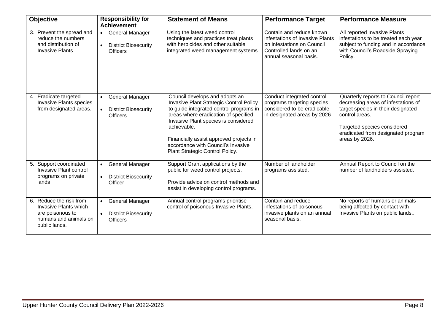| Objective                                                                                                      | <b>Responsibility for</b><br><b>Achievement</b>                                                    | <b>Statement of Means</b>                                                                                                                                                                                                                                                                                                               | <b>Performance Target</b>                                                                                                                     | <b>Performance Measure</b>                                                                                                                                                                                                |
|----------------------------------------------------------------------------------------------------------------|----------------------------------------------------------------------------------------------------|-----------------------------------------------------------------------------------------------------------------------------------------------------------------------------------------------------------------------------------------------------------------------------------------------------------------------------------------|-----------------------------------------------------------------------------------------------------------------------------------------------|---------------------------------------------------------------------------------------------------------------------------------------------------------------------------------------------------------------------------|
| 3. Prevent the spread and<br>reduce the numbers<br>and distribution of<br><b>Invasive Plants</b>               | <b>General Manager</b><br>$\bullet$<br><b>District Biosecurity</b><br>$\bullet$<br><b>Officers</b> | Using the latest weed control<br>techniques and practices treat plants<br>with herbicides and other suitable<br>integrated weed management systems.                                                                                                                                                                                     | Contain and reduce known<br>infestations of Invasive Plants<br>on infestations on Council<br>Controlled lands on an<br>annual seasonal basis. | All reported Invasive Plants<br>infestations to be treated each year<br>subject to funding and in accordance<br>with Council's Roadside Spraying<br>Policy.                                                               |
| 4. Eradicate targeted<br>Invasive Plants species<br>from designated areas.                                     | General Manager<br>$\bullet$<br><b>District Biosecurity</b><br>$\bullet$<br><b>Officers</b>        | Council develops and adopts an<br>Invasive Plant Strategic Control Policy<br>to guide integrated control programs in<br>areas where eradication of specified<br>Invasive Plant species is considered<br>achievable.<br>Financially assist approved projects in<br>accordance with Council's Invasive<br>Plant Strategic Control Policy. | Conduct integrated control<br>programs targeting species<br>considered to be eradicable<br>in designated areas by 2026                        | Quarterly reports to Council report<br>decreasing areas of infestations of<br>target species in their designated<br>control areas.<br>Targeted species considered<br>eradicated from designated program<br>areas by 2026. |
| 5. Support coordinated<br>Invasive Plant control<br>programs on private<br>lands                               | • General Manager<br><b>District Biosecurity</b><br>$\bullet$<br>Officer                           | Support Grant applications by the<br>public for weed control projects.<br>Provide advice on control methods and<br>assist in developing control programs.                                                                                                                                                                               | Number of landholder<br>programs assisted.                                                                                                    | Annual Report to Council on the<br>number of landholders assisted.                                                                                                                                                        |
| 6. Reduce the risk from<br>Invasive Plants which<br>are poisonous to<br>humans and animals on<br>public lands. | <b>General Manager</b><br>$\bullet$<br><b>District Biosecurity</b><br>$\bullet$<br><b>Officers</b> | Annual control programs prioritise<br>control of poisonous Invasive Plants.                                                                                                                                                                                                                                                             | Contain and reduce<br>infestations of poisonous<br>invasive plants on an annual<br>seasonal basis.                                            | No reports of humans or animals<br>being affected by contact with<br>Invasive Plants on public lands                                                                                                                      |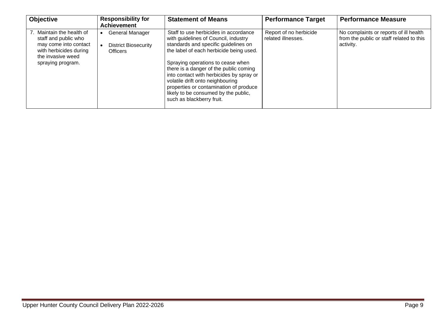| <b>Objective</b>                                                                                                                               | <b>Responsibility for</b><br><b>Achievement</b>                   | <b>Statement of Means</b>                                                                                                                                                                                                                                                                                                                                                                                                                      | <b>Performance Target</b>                    | <b>Performance Measure</b>                                                                      |
|------------------------------------------------------------------------------------------------------------------------------------------------|-------------------------------------------------------------------|------------------------------------------------------------------------------------------------------------------------------------------------------------------------------------------------------------------------------------------------------------------------------------------------------------------------------------------------------------------------------------------------------------------------------------------------|----------------------------------------------|-------------------------------------------------------------------------------------------------|
| 7. Maintain the health of<br>staff and public who<br>may come into contact<br>with herbicides during<br>the invasive weed<br>spraying program. | General Manager<br><b>District Biosecurity</b><br><b>Officers</b> | Staff to use herbicides in accordance<br>with guidelines of Council, industry<br>standards and specific guidelines on<br>the label of each herbicide being used.<br>Spraying operations to cease when<br>there is a danger of the public coming<br>into contact with herbicides by spray or<br>volatile drift onto neighbouring<br>properties or contamination of produce<br>likely to be consumed by the public,<br>such as blackberry fruit. | Report of no herbicide<br>related illnesses. | No complaints or reports of ill health<br>from the public or staff related to this<br>activity. |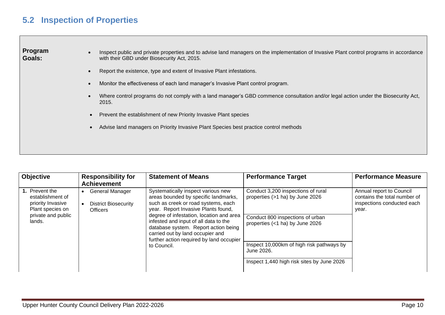### <span id="page-9-0"></span>**5.2 Inspection of Properties**

**Program Goals:**

- Inspect public and private properties and to advise land managers on the implementation of Invasive Plant control programs in accordance with their GBD under Biosecurity Act, 2015.
- Report the existence, type and extent of Invasive Plant infestations.
- Monitor the effectiveness of each land manager's Invasive Plant control program.
- Where control programs do not comply with a land manager's GBD commence consultation and/or legal action under the Biosecurity Act, 2015.
- Prevent the establishment of new Priority Invasive Plant species
- Advise land managers on Priority Invasive Plant Species best practice control methods

| <b>Objective</b>                                                                                            | <b>Responsibility for</b><br><b>Achievement</b>                          | <b>Statement of Means</b>                                                                                                                                                                                                                                                                                                                                                            | <b>Performance Target</b>                                                                                                                                                                                                                             | <b>Performance Measure</b>                                                                      |
|-------------------------------------------------------------------------------------------------------------|--------------------------------------------------------------------------|--------------------------------------------------------------------------------------------------------------------------------------------------------------------------------------------------------------------------------------------------------------------------------------------------------------------------------------------------------------------------------------|-------------------------------------------------------------------------------------------------------------------------------------------------------------------------------------------------------------------------------------------------------|-------------------------------------------------------------------------------------------------|
| 1. Prevent the<br>establishment of<br>priority Invasive<br>Plant species on<br>private and public<br>lands. | <b>General Manager</b><br><b>District Biosecurity</b><br><b>Officers</b> | Systematically inspect various new<br>areas bounded by specific landmarks,<br>such as creek or road systems, each<br>year. Report Invasive Plants found,<br>degree of infestation, location and area<br>infested and input of all data to the<br>database system. Report action being<br>carried out by land occupier and<br>further action required by land occupier<br>to Council. | Conduct 3,200 inspections of rural<br>properties (>1 ha) by June 2026<br>Conduct 800 inspections of urban<br>properties (<1 ha) by June 2026<br>Inspect 10,000km of high risk pathways by<br>June 2026.<br>Inspect 1,440 high risk sites by June 2026 | Annual report to Council<br>contains the total number of<br>inspections conducted each<br>year. |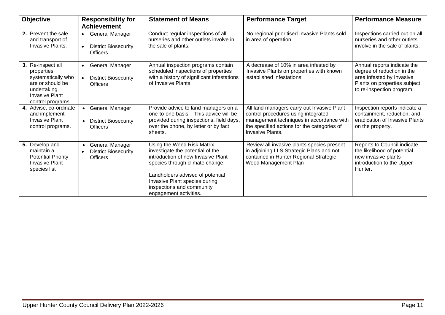| <b>Objective</b>                                                                                                                       | <b>Responsibility for</b><br><b>Achievement</b>                                       | <b>Statement of Means</b>                                                                                                                                                                                                                                           | <b>Performance Target</b>                                                                                                                                                                        | <b>Performance Measure</b>                                                                                                                          |
|----------------------------------------------------------------------------------------------------------------------------------------|---------------------------------------------------------------------------------------|---------------------------------------------------------------------------------------------------------------------------------------------------------------------------------------------------------------------------------------------------------------------|--------------------------------------------------------------------------------------------------------------------------------------------------------------------------------------------------|-----------------------------------------------------------------------------------------------------------------------------------------------------|
| 2. Prevent the sale<br>and transport of<br>Invasive Plants.                                                                            | <b>General Manager</b><br>$\bullet$<br><b>District Biosecurity</b><br><b>Officers</b> | Conduct regular inspections of all<br>nurseries and other outlets involve in<br>the sale of plants.                                                                                                                                                                 | No regional prioritised Invasive Plants sold<br>in area of operation.                                                                                                                            | Inspections carried out on all<br>nurseries and other outlets<br>involve in the sale of plants.                                                     |
| 3. Re-inspect all<br>properties<br>systematically who<br>are or should be<br>undertaking<br><b>Invasive Plant</b><br>control programs. | General Manager<br><b>District Biosecurity</b><br><b>Officers</b>                     | Annual inspection programs contain<br>scheduled inspections of properties<br>with a history of significant infestations<br>of Invasive Plants.                                                                                                                      | A decrease of 10% in area infested by<br>Invasive Plants on properties with known<br>established infestations.                                                                                   | Annual reports indicate the<br>degree of reduction in the<br>area infested by Invasive<br>Plants on properties subject<br>to re-inspection program. |
| 4. Advise, co-ordinate<br>and implement<br><b>Invasive Plant</b><br>control programs.                                                  | • General Manager<br><b>District Biosecurity</b><br>$\bullet$<br><b>Officers</b>      | Provide advice to land managers on a<br>one-to-one basis. This advice will be<br>provided during inspections, field days,<br>over the phone, by letter or by fact<br>sheets.                                                                                        | All land managers carry out Invasive Plant<br>control procedures using integrated<br>management techniques in accordance with<br>the specified actions for the categories of<br>Invasive Plants. | Inspection reports indicate a<br>containment, reduction, and<br>eradication of Invasive Plants<br>on the property.                                  |
| 5. Develop and<br>maintain a<br><b>Potential Priority</b><br><b>Invasive Plant</b><br>species list                                     | <b>General Manager</b><br>$\bullet$<br><b>District Biosecurity</b><br><b>Officers</b> | Using the Weed Risk Matrix<br>investigate the potential of the<br>introduction of new Invasive Plant<br>species through climate change.<br>Landholders advised of potential<br>Invasive Plant species during<br>inspections and community<br>engagement activities. | Review all invasive plants species present<br>in adjoining LLS Strategic Plans and not<br>contained in Hunter Regional Strategic<br>Weed Management Plan                                         | Reports to Council indicate<br>the likelihood of potential<br>new invasive plants<br>introduction to the Upper<br>Hunter.                           |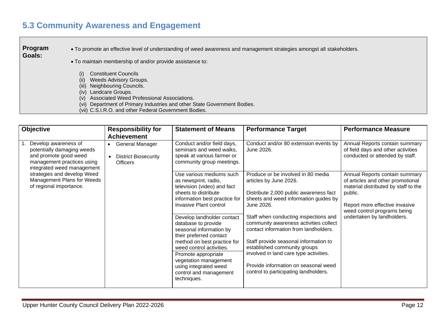### <span id="page-11-0"></span>**5.3 Community Awareness and Engagement**

**Program Goals:** • To promote an effective level of understanding of weed awareness and management strategies amongst all stakeholders. • To maintain membership of and/or provide assistance to: (i) Constituent Councils (ii) Weeds Advisory Groups. (iii) Neighbouring Councils. (iv) Landcare Groups. (v) Associated Weed Professional Associations. (vi) Department of Primary Industries and other State Government Bodies. (vii) C.S.I.R.O. and other Federal Government Bodies.

| <b>Objective</b>                                                                                                                        | <b>Responsibility for</b><br><b>Achievement</b>                                       | <b>Statement of Means</b>                                                                                                                                                                                                                                                                                                                                                                                                                                         | <b>Performance Target</b>                                                                                                                                                                                                                                                                                                                                                                                                                                                                     | <b>Performance Measure</b>                                                                                                                                                                                            |
|-----------------------------------------------------------------------------------------------------------------------------------------|---------------------------------------------------------------------------------------|-------------------------------------------------------------------------------------------------------------------------------------------------------------------------------------------------------------------------------------------------------------------------------------------------------------------------------------------------------------------------------------------------------------------------------------------------------------------|-----------------------------------------------------------------------------------------------------------------------------------------------------------------------------------------------------------------------------------------------------------------------------------------------------------------------------------------------------------------------------------------------------------------------------------------------------------------------------------------------|-----------------------------------------------------------------------------------------------------------------------------------------------------------------------------------------------------------------------|
| Develop awareness of<br>potentially damaging weeds<br>and promote good weed<br>management practices using<br>integrated weed management | <b>General Manager</b><br><b>District Biosecurity</b><br>$\bullet$<br><b>Officers</b> | Conduct and/or field days,<br>seminars and weed walks,<br>speak at various farmer or<br>community group meetings.                                                                                                                                                                                                                                                                                                                                                 | Conduct and/or 80 extension events by<br>June 2026.                                                                                                                                                                                                                                                                                                                                                                                                                                           | Annual Reports contain summary<br>of field days and other activities<br>conducted or attended by staff.                                                                                                               |
| strategies and develop Weed<br>Management Plans for Weeds<br>of regional importance.                                                    |                                                                                       | Use various mediums such<br>as newsprint, radio,<br>television (video) and fact<br>sheets to distribute<br>information best practice for<br><b>Invasive Plant control</b><br>Develop landholder contact<br>database to provide<br>seasonal information by<br>their preferred contact<br>method on best practice for<br>weed control activities.<br>Promote appropriate<br>vegetation management<br>using integrated weed<br>control and management<br>techniques. | Produce or be involved in 80 media<br>articles by June 2026.<br>Distribute 2,000 public awareness fact<br>sheets and weed information guides by<br>June 2026.<br>Staff when conducting inspections and<br>community awareness activities collect<br>contact information from landholders.<br>Staff provide seasonal information to<br>established community groups<br>involved in land care type activities.<br>Provide information on seasonal weed<br>control to participating landholders. | Annual Reports contain summary<br>of articles and other promotional<br>material distributed by staff to the<br>public.<br>Report more effective invasive<br>weed control programs being<br>undertaken by landholders. |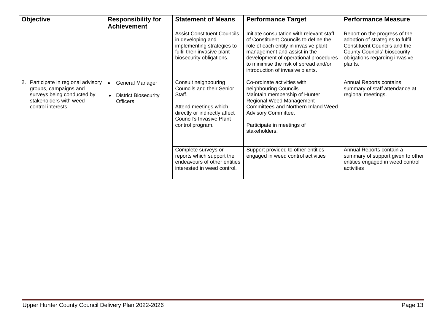| <b>Objective</b>                                                                                                                             | <b>Responsibility for</b><br><b>Achievement</b>                                       | <b>Statement of Means</b>                                                                                                                                                    | <b>Performance Target</b>                                                                                                                                                                                                                                                         | <b>Performance Measure</b>                                                                                                                                                            |
|----------------------------------------------------------------------------------------------------------------------------------------------|---------------------------------------------------------------------------------------|------------------------------------------------------------------------------------------------------------------------------------------------------------------------------|-----------------------------------------------------------------------------------------------------------------------------------------------------------------------------------------------------------------------------------------------------------------------------------|---------------------------------------------------------------------------------------------------------------------------------------------------------------------------------------|
|                                                                                                                                              |                                                                                       | <b>Assist Constituent Councils</b><br>in developing and<br>implementing strategies to<br>fulfil their invasive plant<br>biosecurity obligations.                             | Initiate consultation with relevant staff<br>of Constituent Councils to define the<br>role of each entity in invasive plant<br>management and assist in the<br>development of operational procedures<br>to minimise the risk of spread and/or<br>introduction of invasive plants. | Report on the progress of the<br>adoption of strategies to fulfil<br>Constituent Councils and the<br><b>County Councils' biosecurity</b><br>obligations regarding invasive<br>plants. |
| Participate in regional advisory<br>2.<br>groups, campaigns and<br>surveys being conducted by<br>stakeholders with weed<br>control interests | <b>General Manager</b><br>$\bullet$<br><b>District Biosecurity</b><br><b>Officers</b> | Consult neighbouring<br><b>Councils and their Senior</b><br>Staff.<br>Attend meetings which<br>directly or indirectly affect<br>Council's Invasive Plant<br>control program. | Co-ordinate activities with<br>neighbouring Councils<br>Maintain membership of Hunter<br><b>Regional Weed Management</b><br>Committees and Northern Inland Weed<br>Advisory Committee.<br>Participate in meetings of<br>stakeholders.                                             | Annual Reports contains<br>summary of staff attendance at<br>regional meetings.                                                                                                       |
|                                                                                                                                              |                                                                                       | Complete surveys or<br>reports which support the<br>endeavours of other entities<br>interested in weed control.                                                              | Support provided to other entities<br>engaged in weed control activities                                                                                                                                                                                                          | Annual Reports contain a<br>summary of support given to other<br>entities engaged in weed control<br>activities                                                                       |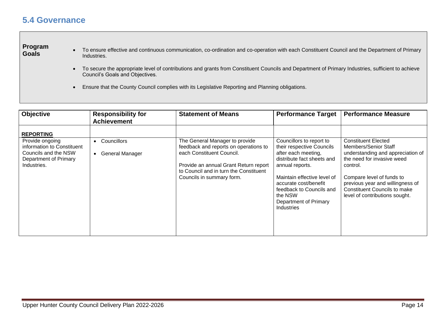### <span id="page-13-0"></span>**5.4 Governance**

## **Program**

- To ensure effective and continuous communication, co-ordination and co-operation with each Constituent Council and the Department of Primary Industries.
	- To secure the appropriate level of contributions and grants from Constituent Councils and Department of Primary Industries, sufficient to achieve Council's Goals and Objectives.
	- Ensure that the County Council complies with its Legislative Reporting and Planning obligations.

| <b>Objective</b>                                                                                                   | <b>Responsibility for</b><br><b>Achievement</b>          | <b>Statement of Means</b>                                                                                    | <b>Performance Target</b>                                                                                                                                    | <b>Performance Measure</b>                                                                                                                         |
|--------------------------------------------------------------------------------------------------------------------|----------------------------------------------------------|--------------------------------------------------------------------------------------------------------------|--------------------------------------------------------------------------------------------------------------------------------------------------------------|----------------------------------------------------------------------------------------------------------------------------------------------------|
| <b>REPORTING</b><br>Provide ongoing<br>information to Constituent<br>Councils and the NSW<br>Department of Primary | Councillors<br>$\bullet$<br>General Manager<br>$\bullet$ | The General Manager to provide<br>feedback and reports on operations to<br>each Constituent Council.         | Councillors to report to<br>their respective Councils<br>after each meeting,<br>distribute fact sheets and                                                   | <b>Constituent Elected</b><br>Members/Senior Staff<br>understanding and appreciation of<br>the need for invasive weed                              |
| Industries.                                                                                                        |                                                          | Provide an annual Grant Return report<br>to Council and in turn the Constituent<br>Councils in summary form. | annual reports.<br>Maintain effective level of<br>accurate cost/benefit<br>feedback to Councils and<br>the NSW<br>Department of Primary<br><b>Industries</b> | control.<br>Compare level of funds to<br>previous year and willingness of<br><b>Constituent Councils to make</b><br>level of contributions sought. |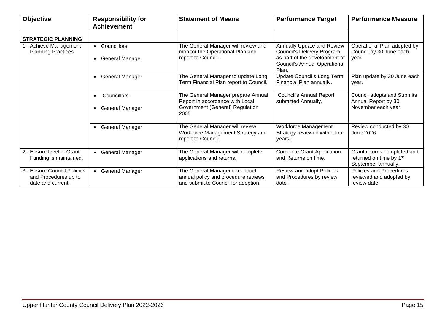| <b>Objective</b>                                                                  | <b>Responsibility for</b>                                       | <b>Statement of Means</b>                                                                                        | <b>Performance Target</b>                                                                                                                 | <b>Performance Measure</b>                                                                |
|-----------------------------------------------------------------------------------|-----------------------------------------------------------------|------------------------------------------------------------------------------------------------------------------|-------------------------------------------------------------------------------------------------------------------------------------------|-------------------------------------------------------------------------------------------|
|                                                                                   | <b>Achievement</b>                                              |                                                                                                                  |                                                                                                                                           |                                                                                           |
| <b>STRATEGIC PLANNING</b>                                                         |                                                                 |                                                                                                                  |                                                                                                                                           |                                                                                           |
| 1. Achieve Management<br><b>Planning Practices</b>                                | • Councillors<br>General Manager<br>$\bullet$                   | The General Manager will review and<br>monitor the Operational Plan and<br>report to Council.                    | Annually Update and Review<br>Council's Delivery Program<br>as part of the development of<br><b>Council's Annual Operational</b><br>Plan. | Operational Plan adopted by<br>Council by 30 June each<br>vear.                           |
|                                                                                   | • General Manager                                               | The General Manager to update Long<br>Term Financial Plan report to Council.                                     | Update Council's Long Term<br>Financial Plan annually.                                                                                    | Plan update by 30 June each<br>year.                                                      |
|                                                                                   | Councillors<br>$\bullet$<br><b>General Manager</b><br>$\bullet$ | The General Manager prepare Annual<br>Report in accordance with Local<br>Government (General) Regulation<br>2005 | <b>Council's Annual Report</b><br>submitted Annually.                                                                                     | Council adopts and Submits<br>Annual Report by 30<br>November each year.                  |
|                                                                                   | • General Manager                                               | The General Manager will review<br>Workforce Management Strategy and<br>report to Council.                       | Workforce Management<br>Strategy reviewed within four<br>years.                                                                           | Review conducted by 30<br>June 2026.                                                      |
| 2. Ensure level of Grant<br>Funding is maintained.                                | • General Manager                                               | The General Manager will complete<br>applications and returns.                                                   | <b>Complete Grant Application</b><br>and Returns on time.                                                                                 | Grant returns completed and<br>returned on time by 1 <sup>st</sup><br>September annually. |
| <b>Ensure Council Policies</b><br>3.<br>and Procedures up to<br>date and current. | • General Manager                                               | The General Manager to conduct<br>annual policy and procedure reviews<br>and submit to Council for adoption.     | Review and adopt Policies<br>and Procedures by review<br>date.                                                                            | Policies and Procedures<br>reviewed and adopted by<br>review date.                        |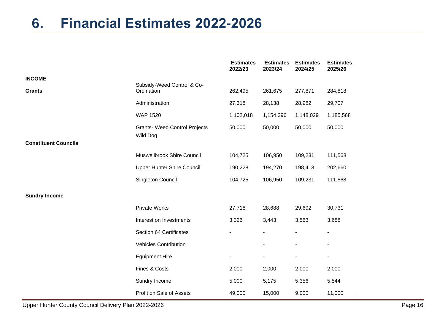## <span id="page-15-0"></span>**6. Financial Estimates 2022-2026**

|                             |                                                  | <b>Estimates</b><br>2022/23 | <b>Estimates</b><br>2023/24 | <b>Estimates</b><br>2024/25 | <b>Estimates</b><br>2025/26 |
|-----------------------------|--------------------------------------------------|-----------------------------|-----------------------------|-----------------------------|-----------------------------|
| <b>INCOME</b>               |                                                  |                             |                             |                             |                             |
| <b>Grants</b>               | Subsidy-Weed Control & Co-<br>Ordination         | 262,495                     | 261,675                     | 277,871                     | 284,818                     |
|                             | Administration                                   | 27,318                      | 28,138                      | 28,982                      | 29,707                      |
|                             | <b>WAP 1520</b>                                  | 1,102,018                   | 1,154,396                   | 1,148,029                   | 1,185,568                   |
|                             | <b>Grants- Weed Control Projects</b><br>Wild Dog | 50,000                      | 50,000                      | 50,000                      | 50,000                      |
| <b>Constituent Councils</b> |                                                  |                             |                             |                             |                             |
|                             | Muswellbrook Shire Council                       | 104,725                     | 106,950                     | 109,231                     | 111,568                     |
|                             | <b>Upper Hunter Shire Council</b>                | 190,228                     | 194,270                     | 198,413                     | 202,660                     |
|                             | Singleton Council                                | 104,725                     | 106,950                     | 109,231                     | 111,568                     |
| <b>Sundry Income</b>        |                                                  |                             |                             |                             |                             |
|                             | <b>Private Works</b>                             | 27,718                      | 28,688                      | 29,692                      | 30,731                      |
|                             | Interest on Investments                          | 3,326                       | 3,443                       | 3,563                       | 3,688                       |
|                             | Section 64 Certificates                          |                             |                             |                             | $\overline{\phantom{a}}$    |
|                             | <b>Vehicles Contribution</b>                     |                             |                             |                             | $\overline{\phantom{a}}$    |
|                             | <b>Equipment Hire</b>                            |                             | $\blacksquare$              |                             | ۰                           |
|                             | Fines & Costs                                    | 2,000                       | 2,000                       | 2,000                       | 2,000                       |
|                             | Sundry Income                                    | 5,000                       | 5,175                       | 5,356                       | 5,544                       |
|                             | Profit on Sale of Assets                         | 49,000                      | 15,000                      | 9,000                       | 11,000                      |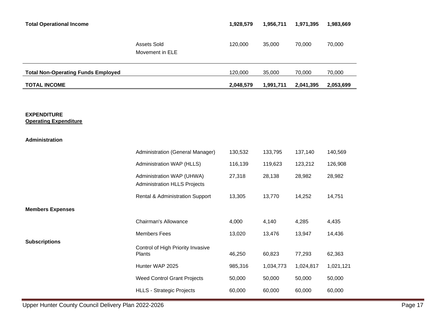| <b>Total Operational Income</b>                    |                                                                  | 1,928,579 | 1,956,711 | 1,971,395 | 1,983,669 |
|----------------------------------------------------|------------------------------------------------------------------|-----------|-----------|-----------|-----------|
|                                                    | Assets Sold<br>Movement in ELE                                   | 120,000   | 35,000    | 70,000    | 70,000    |
| <b>Total Non-Operating Funds Employed</b>          |                                                                  | 120,000   | 35,000    | 70,000    | 70,000    |
| <b>TOTAL INCOME</b>                                |                                                                  | 2,048,579 | 1,991,711 | 2,041,395 | 2,053,699 |
|                                                    |                                                                  |           |           |           |           |
| <b>EXPENDITURE</b><br><b>Operating Expenditure</b> |                                                                  |           |           |           |           |
| Administration                                     |                                                                  |           |           |           |           |
|                                                    | Administration (General Manager)                                 | 130,532   | 133,795   | 137,140   | 140,569   |
|                                                    | Administration WAP (HLLS)                                        | 116,139   | 119,623   | 123,212   | 126,908   |
|                                                    | Administration WAP (UHWA)<br><b>Administration HLLS Projects</b> | 27,318    | 28,138    | 28,982    | 28,982    |
|                                                    | <b>Rental &amp; Administration Support</b>                       | 13,305    | 13,770    | 14,252    | 14,751    |
| <b>Members Expenses</b>                            |                                                                  |           |           |           |           |
|                                                    | Chairman's Allowance                                             | 4,000     | 4,140     | 4,285     | 4,435     |
|                                                    | <b>Members Fees</b>                                              | 13,020    | 13,476    | 13,947    | 14,436    |
| <b>Subscriptions</b>                               | Control of High Priority Invasive<br>Plants                      | 46,250    | 60,823    | 77,293    | 62,363    |
|                                                    | Hunter WAP 2025                                                  | 985,316   | 1,034,773 | 1,024,817 | 1,021,121 |
|                                                    | <b>Weed Control Grant Projects</b>                               | 50,000    | 50,000    | 50,000    | 50,000    |
|                                                    | <b>HLLS - Strategic Projects</b>                                 | 60,000    | 60,000    | 60,000    | 60,000    |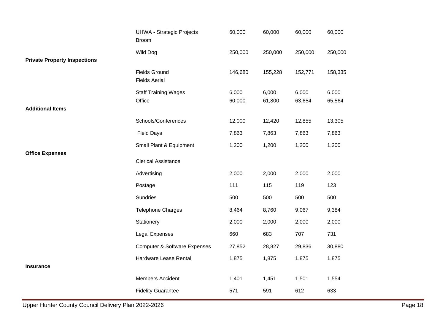|                                     | <b>UHWA - Strategic Projects</b><br><b>Broom</b> | 60,000  | 60,000  | 60,000  | 60,000  |
|-------------------------------------|--------------------------------------------------|---------|---------|---------|---------|
|                                     | <b>Wild Dog</b>                                  | 250,000 | 250,000 | 250,000 | 250,000 |
| <b>Private Property Inspections</b> |                                                  |         |         |         |         |
|                                     | <b>Fields Ground</b><br><b>Fields Aerial</b>     | 146,680 | 155,228 | 152,771 | 158,335 |
|                                     | <b>Staff Training Wages</b>                      | 6,000   | 6,000   | 6,000   | 6,000   |
|                                     | Office                                           | 60,000  | 61,800  | 63,654  | 65,564  |
| <b>Additional Items</b>             |                                                  |         |         |         |         |
|                                     | Schools/Conferences                              | 12,000  | 12,420  | 12,855  | 13,305  |
|                                     | <b>Field Days</b>                                | 7,863   | 7,863   | 7,863   | 7,863   |
| <b>Office Expenses</b>              | Small Plant & Equipment                          | 1,200   | 1,200   | 1,200   | 1,200   |
|                                     | <b>Clerical Assistance</b>                       |         |         |         |         |
|                                     | Advertising                                      | 2,000   | 2,000   | 2,000   | 2,000   |
|                                     | Postage                                          | 111     | 115     | 119     | 123     |
|                                     | Sundries                                         | 500     | 500     | 500     | 500     |
|                                     | <b>Telephone Charges</b>                         | 8,464   | 8,760   | 9,067   | 9,384   |
|                                     | Stationery                                       | 2,000   | 2,000   | 2,000   | 2,000   |
|                                     | Legal Expenses                                   | 660     | 683     | 707     | 731     |
|                                     | <b>Computer &amp; Software Expenses</b>          | 27,852  | 28,827  | 29,836  | 30,880  |
|                                     | Hardware Lease Rental                            | 1,875   | 1,875   | 1,875   | 1,875   |
| <b>Insurance</b>                    |                                                  |         |         |         |         |
|                                     | Members Accident                                 | 1,401   | 1,451   | 1,501   | 1,554   |
|                                     | <b>Fidelity Guarantee</b>                        | 571     | 591     | 612     | 633     |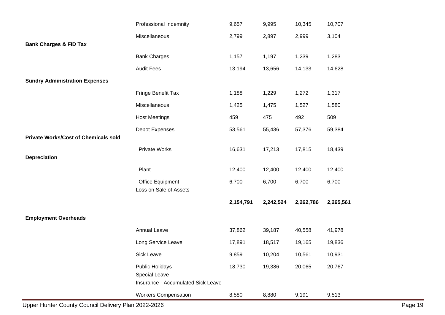|                                             | Professional Indemnity                                                        | 9,657          | 9,995          | 10,345         | 10,707                   |
|---------------------------------------------|-------------------------------------------------------------------------------|----------------|----------------|----------------|--------------------------|
|                                             | Miscellaneous                                                                 | 2,799          | 2,897          | 2,999          | 3,104                    |
| <b>Bank Charges &amp; FID Tax</b>           |                                                                               |                |                |                |                          |
|                                             | <b>Bank Charges</b>                                                           | 1,157          | 1,197          | 1,239          | 1,283                    |
|                                             | <b>Audit Fees</b>                                                             | 13,194         | 13,656         | 14,133         | 14,628                   |
| <b>Sundry Administration Expenses</b>       |                                                                               | $\blacksquare$ | $\blacksquare$ | $\blacksquare$ | $\overline{\phantom{a}}$ |
|                                             | Fringe Benefit Tax                                                            | 1,188          | 1,229          | 1,272          | 1,317                    |
|                                             | Miscellaneous                                                                 | 1,425          | 1,475          | 1,527          | 1,580                    |
|                                             | <b>Host Meetings</b>                                                          | 459            | 475            | 492            | 509                      |
|                                             | Depot Expenses                                                                | 53,561         | 55,436         | 57,376         | 59,384                   |
| <b>Private Works/Cost of Chemicals sold</b> |                                                                               |                |                |                |                          |
|                                             | <b>Private Works</b>                                                          | 16,631         | 17,213         | 17,815         | 18,439                   |
| <b>Depreciation</b>                         |                                                                               |                |                |                |                          |
|                                             | Plant                                                                         | 12,400         | 12,400         | 12,400         | 12,400                   |
|                                             | <b>Office Equipment</b><br>Loss on Sale of Assets                             | 6,700          | 6,700          | 6,700          | 6,700                    |
|                                             |                                                                               | 2,154,791      | 2,242,524      | 2,262,786      | 2,265,561                |
| <b>Employment Overheads</b>                 |                                                                               |                |                |                |                          |
|                                             | <b>Annual Leave</b>                                                           | 37,862         | 39,187         | 40,558         | 41,978                   |
|                                             | Long Service Leave                                                            | 17,891         | 18,517         | 19,165         | 19,836                   |
|                                             | <b>Sick Leave</b>                                                             | 9,859          | 10,204         | 10,561         | 10,931                   |
|                                             | Public Holidays<br>Special Leave<br><b>Insurance - Accumulated Sick Leave</b> | 18,730         | 19,386         | 20,065         | 20,767                   |
|                                             | <b>Workers Compensation</b>                                                   | 8,580          | 8,880          | 9,191          | 9,513                    |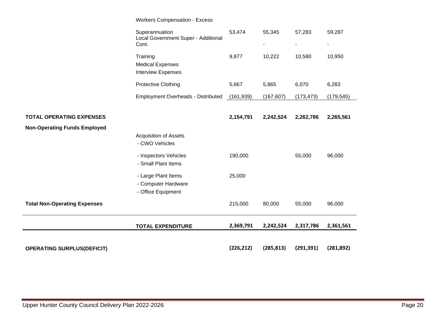|                                     | <b>Workers Compensation - Excess</b>                             |            |            |             |                          |
|-------------------------------------|------------------------------------------------------------------|------------|------------|-------------|--------------------------|
|                                     | Superannuation<br>Local Government Super - Additional<br>Cont.   | 53,474     | 55,345     | 57,283<br>۰ | 59,287<br>$\blacksquare$ |
|                                     | Training<br><b>Medical Expenses</b><br><b>Interview Expenses</b> | 9,877      | 10,222     | 10,580      | 10,950                   |
|                                     | Protective Clothing                                              | 5,667      | 5,865      | 6,070       | 6,283                    |
|                                     | <b>Employment Overheads - Distributed</b>                        | (161, 939) | (167, 607) | (173, 473)  | (179, 545)               |
|                                     |                                                                  |            |            |             |                          |
| <b>TOTAL OPERATING EXPENSES</b>     |                                                                  | 2,154,791  | 2,242,524  | 2,262,786   | 2,265,561                |
| <b>Non-Operating Funds Employed</b> |                                                                  |            |            |             |                          |
|                                     | <b>Acquisition of Assets</b><br>- CWO Vehicles                   |            |            |             |                          |
|                                     | - Inspectors Vehicles<br>- Small Plant Items                     | 190,000    |            | 55,000      | 96,000                   |
|                                     | - Large Plant Items<br>- Computer Hardware<br>- Office Equipment | 25,000     |            |             |                          |
| <b>Total Non-Operating Expenses</b> |                                                                  | 215,000    | 80,000     | 55,000      | 96,000                   |
|                                     | <b>TOTAL EXPENDITURE</b>                                         | 2,369,791  | 2,242,524  | 2,317,786   | 2,361,561                |
|                                     |                                                                  |            |            |             |                          |
| <b>OPERATING SURPLUS(DEFICIT)</b>   |                                                                  | (226, 212) | (285, 813) | (291, 391)  | (281, 892)               |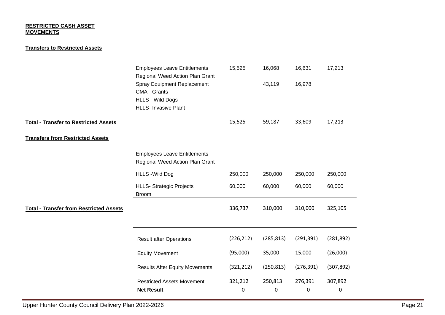#### **RESTRICTED CASH ASSET MOVEMENTS**

#### **Transfers to Restricted Assets**

|                                                | <b>Employees Leave Entitlements</b><br>Regional Weed Action Plan Grant                                       | 15,525      | 16,068      | 16,631     | 17,213     |
|------------------------------------------------|--------------------------------------------------------------------------------------------------------------|-------------|-------------|------------|------------|
|                                                | <b>Spray Equipment Replacement</b><br>CMA - Grants<br><b>HLLS - Wild Dogs</b><br><b>HLLS- Invasive Plant</b> |             | 43,119      | 16,978     |            |
| <b>Total - Transfer to Restricted Assets</b>   |                                                                                                              | 15,525      | 59,187      | 33,609     | 17,213     |
| <b>Transfers from Restricted Assets</b>        |                                                                                                              |             |             |            |            |
|                                                | <b>Employees Leave Entitlements</b><br>Regional Weed Action Plan Grant                                       |             |             |            |            |
|                                                | <b>HLLS - Wild Dog</b>                                                                                       | 250,000     | 250,000     | 250,000    | 250,000    |
|                                                | <b>HLLS- Strategic Projects</b><br><b>Broom</b>                                                              | 60,000      | 60,000      | 60,000     | 60,000     |
| <b>Total - Transfer from Restricted Assets</b> |                                                                                                              | 336,737     | 310,000     | 310,000    | 325,105    |
|                                                | <b>Result after Operations</b>                                                                               | (226, 212)  | (285, 813)  | (291, 391) | (281, 892) |
|                                                | <b>Equity Movement</b>                                                                                       | (95,000)    | 35,000      | 15,000     | (26,000)   |
|                                                | <b>Results After Equity Movements</b>                                                                        | (321, 212)  | (250, 813)  | (276, 391) | (307, 892) |
|                                                | <b>Restricted Assets Movement</b>                                                                            | 321,212     | 250,813     | 276,391    | 307,892    |
|                                                | <b>Net Result</b>                                                                                            | $\mathbf 0$ | $\mathbf 0$ | $\pmb{0}$  | 0          |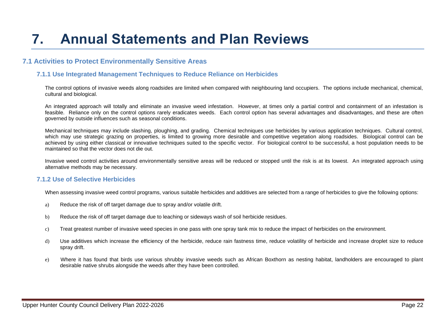# <span id="page-21-0"></span>**7. Annual Statements and Plan Reviews**

### <span id="page-21-1"></span>**7.1 Activities to Protect Environmentally Sensitive Areas**

#### <span id="page-21-2"></span> **7.1.1 Use Integrated Management Techniques to Reduce Reliance on Herbicides**

The control options of invasive weeds along roadsides are limited when compared with neighbouring land occupiers. The options include mechanical, chemical, cultural and biological.

An integrated approach will totally and eliminate an invasive weed infestation. However, at times only a partial control and containment of an infestation is feasible. Reliance only on the control options rarely eradicates weeds. Each control option has several advantages and disadvantages, and these are often governed by outside influences such as seasonal conditions.

Mechanical techniques may include slashing, ploughing, and grading. Chemical techniques use herbicides by various application techniques. Cultural control, which may use strategic grazing on properties, is limited to growing more desirable and competitive vegetation along roadsides. Biological control can be achieved by using either classical or innovative techniques suited to the specific vector. For biological control to be successful, a host population needs to be maintained so that the vector does not die out.

Invasive weed control activities around environmentally sensitive areas will be reduced or stopped until the risk is at its lowest. An integrated approach using alternative methods may be necessary.

#### <span id="page-21-3"></span> **7.1.2 Use of Selective Herbicides**

When assessing invasive weed control programs, various suitable herbicides and additives are selected from a range of herbicides to give the following options:

- a) Reduce the risk of off target damage due to spray and/or volatile drift.
- b) Reduce the risk of off target damage due to leaching or sideways wash of soil herbicide residues.
- c) Treat greatest number of invasive weed species in one pass with one spray tank mix to reduce the impact of herbicides on the environment.
- d) Use additives which increase the efficiency of the herbicide, reduce rain fastness time, reduce volatility of herbicide and increase droplet size to reduce spray drift.
- e) Where it has found that birds use various shrubby invasive weeds such as African Boxthorn as nesting habitat, landholders are encouraged to plant desirable native shrubs alongside the weeds after they have been controlled.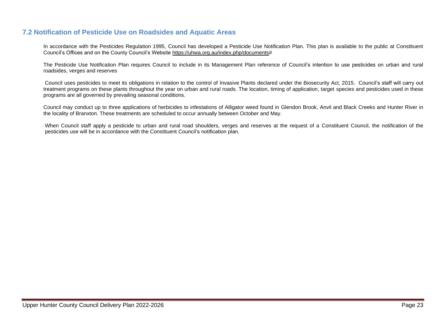### <span id="page-22-0"></span>**7.2 Notification of Pesticide Use on Roadsides and Aquatic Areas**

In accordance with the Pesticides Regulation 1995, Council has developed a Pesticide Use Notification Plan. This plan is available to the public at Constituent Council's Offices and on the County Council's Website https://uhwa.org.au/index.php/documents#

The Pesticide Use Notification Plan requires Council to include in its Management Plan reference of Council's intention to use pesticides on urban and rural roadsides, verges and reserves

Council uses pesticides to meet its obligations in relation to the control of Invasive Plants declared under the Biosecurity Act, 2015. Council's staff will carry out treatment programs on these plants throughout the year on urban and rural roads. The location, timing of application, target species and pesticides used in these programs are all governed by prevailing seasonal conditions.

Council may conduct up to three applications of herbicides to infestations of Alligator weed found in Glendon Brook, Anvil and Black Creeks and Hunter River in the locality of Branxton. These treatments are scheduled to occur annually between October and May.

When Council staff apply a pesticide to urban and rural road shoulders, verges and reserves at the request of a Constituent Council, the notification of the pesticides use will be in accordance with the Constituent Council's notification plan.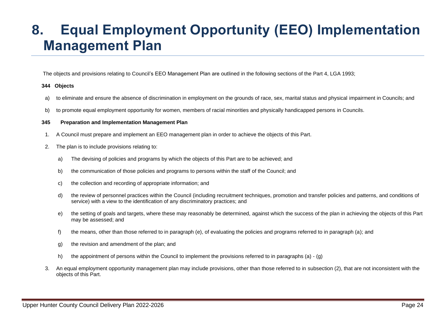## <span id="page-23-0"></span>**8. Equal Employment Opportunity (EEO) Implementation Management Plan**

The objects and provisions relating to Council's EEO Management Plan are outlined in the following sections of the Part 4, LGA 1993;

#### **344 Objects**

- a) to eliminate and ensure the absence of discrimination in employment on the grounds of race, sex, marital status and physical impairment in Councils; and
- b) to promote equal employment opportunity for women, members of racial minorities and physically handicapped persons in Councils.

#### **345 Preparation and Implementation Management Plan**

- 1. A Council must prepare and implement an EEO management plan in order to achieve the objects of this Part.
- 2. The plan is to include provisions relating to:
	- a) The devising of policies and programs by which the objects of this Part are to be achieved; and
	- b) the communication of those policies and programs to persons within the staff of the Council; and
	- c) the collection and recording of appropriate information; and
	- d) the review of personnel practices within the Council (including recruitment techniques, promotion and transfer policies and patterns, and conditions of service) with a view to the identification of any discriminatory practices; and
	- e) the setting of goals and targets, where these may reasonably be determined, against which the success of the plan in achieving the objects of this Part may be assessed; and
	- f) the means, other than those referred to in paragraph (e), of evaluating the policies and programs referred to in paragraph (a); and
	- g) the revision and amendment of the plan; and
	- h) the appointment of persons within the Council to implement the provisions referred to in paragraphs (a) (g)
- 3. An equal employment opportunity management plan may include provisions, other than those referred to in subsection (2), that are not inconsistent with the objects of this Part.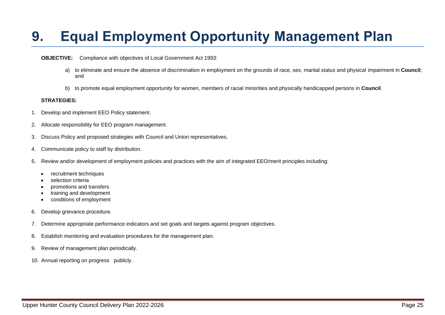## <span id="page-24-0"></span>**9. Equal Employment Opportunity Management Plan**

#### **OBJECTIVE:** Compliance with objectives of Local Government Act 1993:

- a) to eliminate and ensure the absence of discrimination in employment on the grounds of race, sex, marital status and physical impairment in **Council**; and
- b) to promote equal employment opportunity for women, members of racial minorities and physically handicapped persons in **Council**.

#### **STRATEGIES:**

- 1. Develop and implement EEO Policy statement.
- 2. Allocate responsibility for EEO program management.
- 3. Discuss Policy and proposed strategies with Council and Union representatives.
- 4. Communicate policy to staff by distribution.
- 5. Review and/or development of employment policies and practices with the aim of integrated EEO/merit principles including:
	- recruitment techniques
	- selection criteria
	- promotions and transfers
	- training and development
	- conditions of employment
- 6. Develop grievance procedure.
- 7. Determine appropriate performance indicators and set goals and targets against program objectives.
- 8. Establish monitoring and evaluation procedures for the management plan.
- 9. Review of management plan periodically.
- 10. Annual reporting on progress publicly.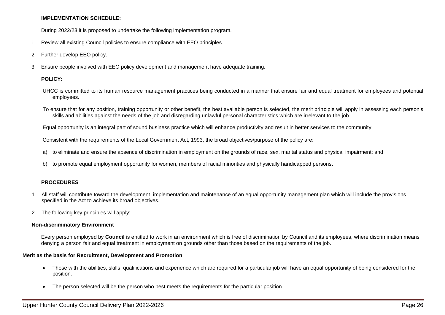#### **IMPLEMENTATION SCHEDULE:**

During 2022/23 it is proposed to undertake the following implementation program.

- 1. Review all existing Council policies to ensure compliance with EEO principles.
- 2. Further develop EEO policy.
- 3. Ensure people involved with EEO policy development and management have adequate training.

#### **POLICY:**

- UHCC is committed to its human resource management practices being conducted in a manner that ensure fair and equal treatment for employees and potential employees.
- To ensure that for any position, training opportunity or other benefit, the best available person is selected, the merit principle will apply in assessing each person's skills and abilities against the needs of the job and disregarding unlawful personal characteristics which are irrelevant to the job.

Equal opportunity is an integral part of sound business practice which will enhance productivity and result in better services to the community.

Consistent with the requirements of the Local Government Act, 1993, the broad objectives/purpose of the policy are:

- a) to eliminate and ensure the absence of discrimination in employment on the grounds of race, sex, marital status and physical impairment; and
- b) to promote equal employment opportunity for women, members of racial minorities and physically handicapped persons.

#### **PROCEDURES**

- 1. All staff will contribute toward the development, implementation and maintenance of an equal opportunity management plan which will include the provisions specified in the Act to achieve its broad objectives.
- 2. The following key principles will apply:

#### **Non-discriminatory Environment**

Every person employed by **Council** is entitled to work in an environment which is free of discrimination by Council and its employees, where discrimination means denying a person fair and equal treatment in employment on grounds other than those based on the requirements of the job.

#### **Merit as the basis for Recruitment, Development and Promotion**

- Those with the abilities, skills, qualifications and experience which are required for a particular job will have an equal opportunity of being considered for the position.
- The person selected will be the person who best meets the requirements for the particular position.